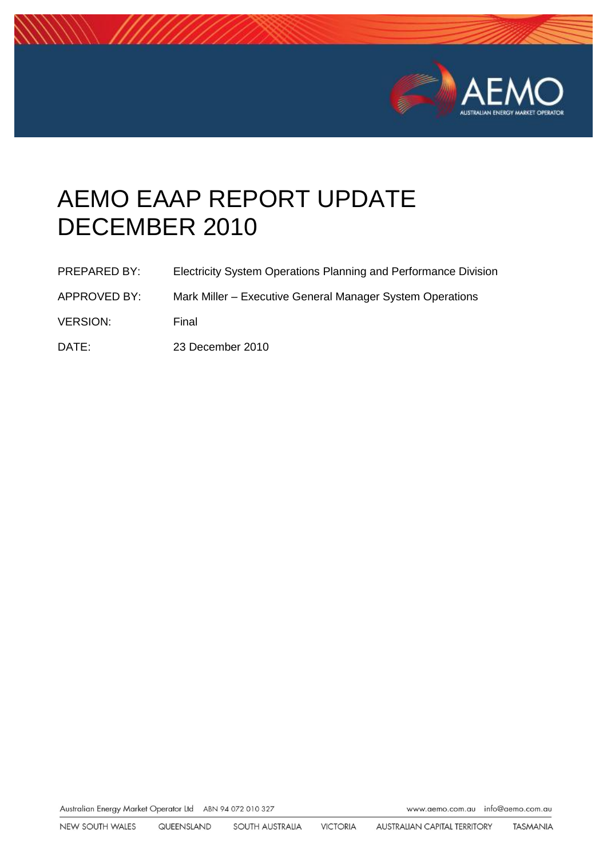

# AEMO EAAP REPORT UPDATE DECEMBER 2010

| <b>PREPARED BY:</b> | Electricity System Operations Planning and Performance Division |
|---------------------|-----------------------------------------------------------------|
| APPROVED BY:        | Mark Miller – Executive General Manager System Operations       |
| <b>VERSION:</b>     | Final                                                           |

DATE: 23 December 2010

Australian Energy Market Operator Ltd ABN 94 072 010 327

www.aemo.com.au info@aemo.com.au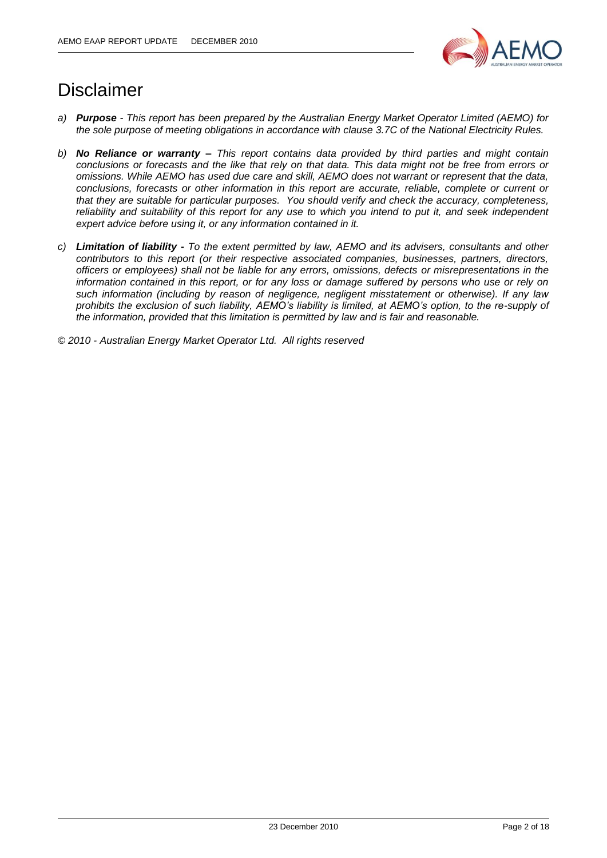

## Disclaimer

- *a) Purpose - This report has been prepared by the Australian Energy Market Operator Limited (AEMO) for the sole purpose of meeting obligations in accordance with clause 3.7C of the National Electricity Rules.*
- *b) No Reliance or warranty – This report contains data provided by third parties and might contain conclusions or forecasts and the like that rely on that data. This data might not be free from errors or omissions. While AEMO has used due care and skill, AEMO does not warrant or represent that the data, conclusions, forecasts or other information in this report are accurate, reliable, complete or current or that they are suitable for particular purposes. You should verify and check the accuracy, completeness, reliability and suitability of this report for any use to which you intend to put it, and seek independent expert advice before using it, or any information contained in it.*
- *c) Limitation of liability - To the extent permitted by law, AEMO and its advisers, consultants and other contributors to this report (or their respective associated companies, businesses, partners, directors, officers or employees) shall not be liable for any errors, omissions, defects or misrepresentations in the information contained in this report, or for any loss or damage suffered by persons who use or rely on such information (including by reason of negligence, negligent misstatement or otherwise). If any law prohibits the exclusion of such liability, AEMO's liability is limited, at AEMO's option, to the re-supply of the information, provided that this limitation is permitted by law and is fair and reasonable.*

*© 2010 - Australian Energy Market Operator Ltd. All rights reserved*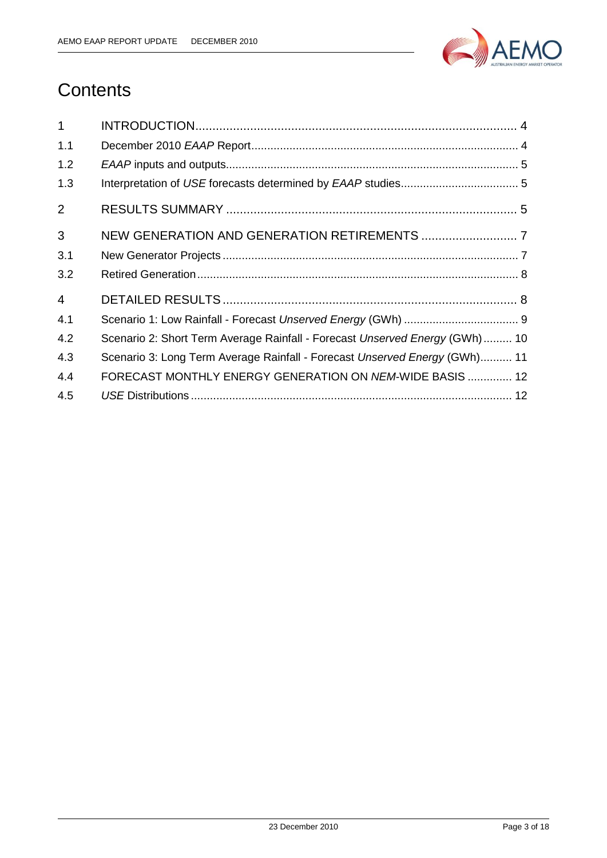

## **Contents**

| $\mathbf{1}$   |                                                                             |
|----------------|-----------------------------------------------------------------------------|
| 1.1            |                                                                             |
| 1.2            |                                                                             |
| 1.3            |                                                                             |
| $\overline{2}$ |                                                                             |
| 3              |                                                                             |
| 3.1            |                                                                             |
| 3.2            |                                                                             |
| $\overline{4}$ |                                                                             |
| 4.1            |                                                                             |
| 4.2            | Scenario 2: Short Term Average Rainfall - Forecast Unserved Energy (GWh) 10 |
| 4.3            | Scenario 3: Long Term Average Rainfall - Forecast Unserved Energy (GWh) 11  |
| 4.4            | FORECAST MONTHLY ENERGY GENERATION ON NEM-WIDE BASIS  12                    |
| 4.5            |                                                                             |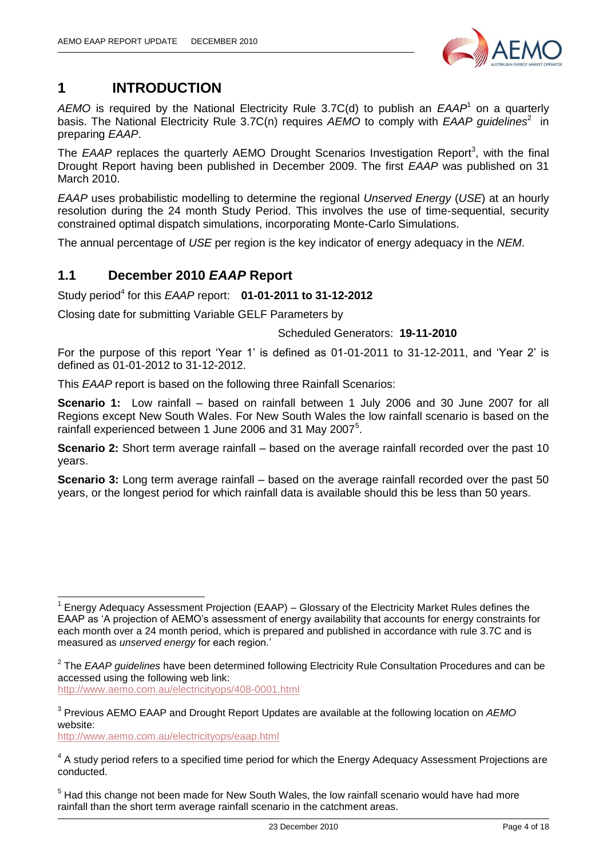

## <span id="page-3-0"></span>**1 INTRODUCTION**

AEMO is required by the National Electricity Rule 3.7C(d) to publish an EAAP<sup>1</sup> on a quarterly basis. The National Electricity Rule 3.7C(n) requires AEMO to comply with EAAP guidelines<sup>2</sup> in preparing *EAAP*.

The EAAP replaces the quarterly AEMO Drought Scenarios Investigation Report<sup>3</sup>, with the final Drought Report having been published in December 2009. The first *EAAP* was published on 31 March 2010.

*EAAP* uses probabilistic modelling to determine the regional *Unserved Energy* (*USE*) at an hourly resolution during the 24 month Study Period. This involves the use of time-sequential, security constrained optimal dispatch simulations, incorporating Monte-Carlo Simulations.

The annual percentage of *USE* per region is the key indicator of energy adequacy in the *NEM*.

#### <span id="page-3-1"></span>**1.1 December 2010** *EAAP* **Report**

#### Study period<sup>4</sup> for this *EAAP* report: **01-01-2011 to 31-12-2012**

Closing date for submitting Variable GELF Parameters by

#### Scheduled Generators: **19-11-2010**

For the purpose of this report "Year 1" is defined as 01-01-2011 to 31-12-2011, and "Year 2" is defined as 01-01-2012 to 31-12-2012.

This *EAAP* report is based on the following three Rainfall Scenarios:

**Scenario 1:** Low rainfall – based on rainfall between 1 July 2006 and 30 June 2007 for all Regions except New South Wales. For New South Wales the low rainfall scenario is based on the rainfall experienced between 1 June 2006 and 31 May 2007<sup>5</sup>.

**Scenario 2:** Short term average rainfall – based on the average rainfall recorded over the past 10 years.

**Scenario 3:** Long term average rainfall – based on the average rainfall recorded over the past 50 years, or the longest period for which rainfall data is available should this be less than 50 years.

<http://www.aemo.com.au/electricityops/408-0001.html>

<http://www.aemo.com.au/electricityops/eaap.html>

 $\overline{\phantom{a}}$ 

<sup>1</sup> Energy Adequacy Assessment Projection (EAAP) – Glossary of the Electricity Market Rules defines the EAAP as "A projection of AEMO"s assessment of energy availability that accounts for energy constraints for each month over a 24 month period, which is prepared and published in accordance with rule 3.7C and is measured as *unserved energy* for each region."

<sup>2</sup> The *EAAP guidelines* have been determined following Electricity Rule Consultation Procedures and can be accessed using the following web link:

<sup>3</sup> Previous AEMO EAAP and Drought Report Updates are available at the following location on *AEMO* website:

 $4$  A study period refers to a specified time period for which the Energy Adequacy Assessment Projections are conducted.

 $<sup>5</sup>$  Had this change not been made for New South Wales, the low rainfall scenario would have had more</sup> rainfall than the short term average rainfall scenario in the catchment areas.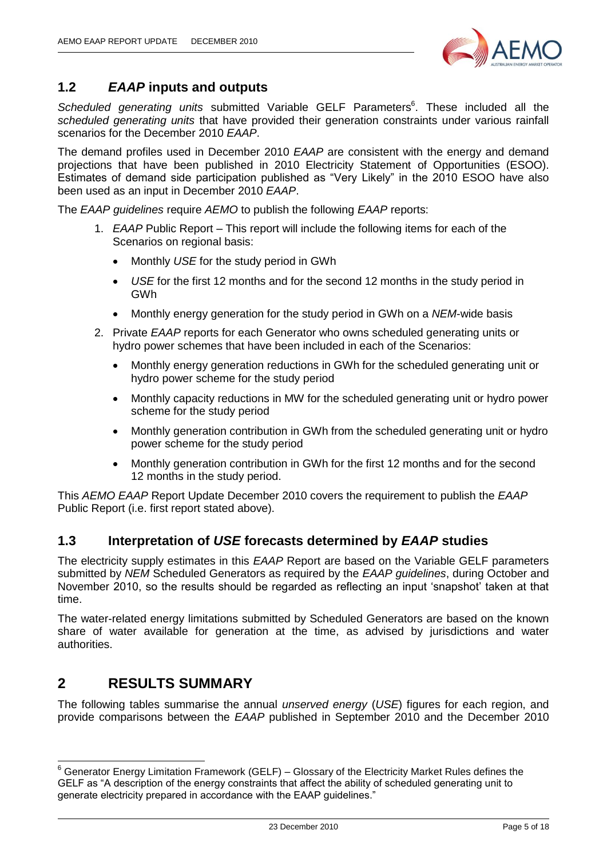

#### <span id="page-4-0"></span>**1.2** *EAAP* **inputs and outputs**

Scheduled generating units submitted Variable GELF Parameters<sup>6</sup>. These included all the *scheduled generating units* that have provided their generation constraints under various rainfall scenarios for the December 2010 *EAAP*.

The demand profiles used in December 2010 *EAAP* are consistent with the energy and demand projections that have been published in 2010 Electricity Statement of Opportunities (ESOO). Estimates of demand side participation published as "Very Likely" in the 2010 ESOO have also been used as an input in December 2010 *EAAP*.

The *EAAP guidelines* require *AEMO* to publish the following *EAAP* reports:

- 1. *EAAP* Public Report This report will include the following items for each of the Scenarios on regional basis:
	- Monthly *USE* for the study period in GWh
	- *USE* for the first 12 months and for the second 12 months in the study period in GWh
	- Monthly energy generation for the study period in GWh on a *NEM*-wide basis
- 2. Private *EAAP* reports for each Generator who owns scheduled generating units or hydro power schemes that have been included in each of the Scenarios:
	- Monthly energy generation reductions in GWh for the scheduled generating unit or hydro power scheme for the study period
	- Monthly capacity reductions in MW for the scheduled generating unit or hydro power scheme for the study period
	- Monthly generation contribution in GWh from the scheduled generating unit or hydro power scheme for the study period
	- Monthly generation contribution in GWh for the first 12 months and for the second 12 months in the study period.

This *AEMO EAAP* Report Update December 2010 covers the requirement to publish the *EAAP* Public Report (i.e. first report stated above).

#### <span id="page-4-1"></span>**1.3 Interpretation of** *USE* **forecasts determined by** *EAAP* **studies**

The electricity supply estimates in this *EAAP* Report are based on the Variable GELF parameters submitted by *NEM* Scheduled Generators as required by the *EAAP guidelines*, during October and November 2010, so the results should be regarded as reflecting an input "snapshot" taken at that time.

The water-related energy limitations submitted by Scheduled Generators are based on the known share of water available for generation at the time, as advised by jurisdictions and water authorities.

#### <span id="page-4-2"></span>**2 RESULTS SUMMARY**

-

The following tables summarise the annual *unserved energy* (*USE*) figures for each region, and provide comparisons between the *EAAP* published in September 2010 and the December 2010

 $6$  Generator Energy Limitation Framework (GELF) – Glossary of the Electricity Market Rules defines the GELF as "A description of the energy constraints that affect the ability of scheduled generating unit to generate electricity prepared in accordance with the EAAP guidelines."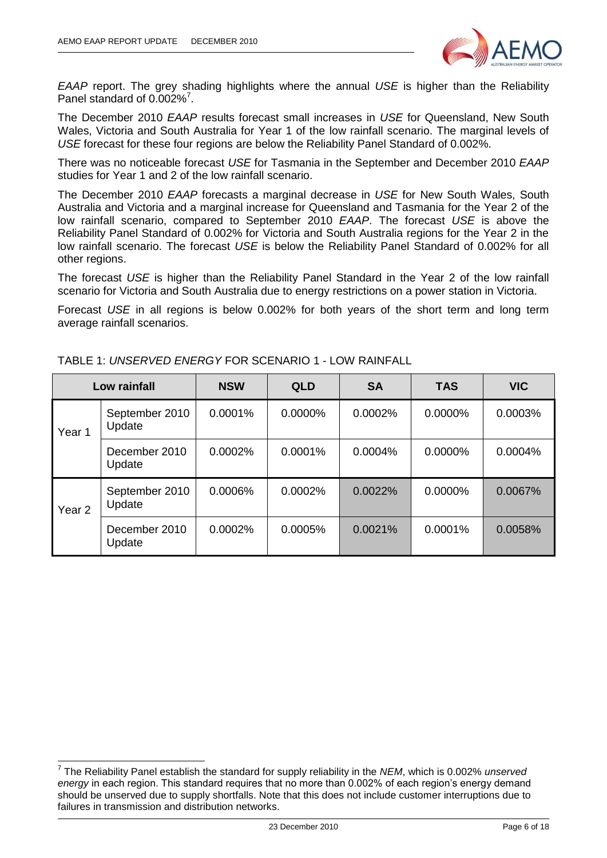

*EAAP* report. The grey shading highlights where the annual *USE* is higher than the Reliability Panel standard of 0.002%<sup>7</sup>.

The December 2010 *EAAP* results forecast small increases in *USE* for Queensland, New South Wales, Victoria and South Australia for Year 1 of the low rainfall scenario. The marginal levels of *USE* forecast for these four regions are below the Reliability Panel Standard of 0.002%.

There was no noticeable forecast *USE* for Tasmania in the September and December 2010 *EAAP* studies for Year 1 and 2 of the low rainfall scenario.

The December 2010 *EAAP* forecasts a marginal decrease in *USE* for New South Wales, South Australia and Victoria and a marginal increase for Queensland and Tasmania for the Year 2 of the low rainfall scenario, compared to September 2010 *EAAP*. The forecast *USE* is above the Reliability Panel Standard of 0.002% for Victoria and South Australia regions for the Year 2 in the low rainfall scenario. The forecast *USE* is below the Reliability Panel Standard of 0.002% for all other regions.

The forecast *USE* is higher than the Reliability Panel Standard in the Year 2 of the low rainfall scenario for Victoria and South Australia due to energy restrictions on a power station in Victoria.

Forecast *USE* in all regions is below 0.002% for both years of the short term and long term average rainfall scenarios.

|                   | Low rainfall             | <b>NSW</b> | <b>QLD</b> | <b>SA</b> | <b>TAS</b> | <b>VIC</b> |
|-------------------|--------------------------|------------|------------|-----------|------------|------------|
| Year 1            | September 2010<br>Update | 0.0001%    | 0.0000%    | 0.0002%   | 0.0000%    | 0.0003%    |
|                   | December 2010<br>Update  | 0.0002%    | 0.0001%    | 0.0004%   | $0.0000\%$ | 0.0004%    |
| Year <sub>2</sub> | September 2010<br>Update | 0.0006%    | 0.0002%    | 0.0022%   | 0.0000%    | 0.0067%    |
|                   | December 2010<br>Update  | 0.0002%    | 0.0005%    | 0.0021%   | $0.0001\%$ | 0.0058%    |

TABLE 1: *UNSERVED ENERGY* FOR SCENARIO 1 - LOW RAINFALL

 7 The Reliability Panel establish the standard for supply reliability in the *NEM*, which is 0.002% *unserved energy* in each region. This standard requires that no more than 0.002% of each region's energy demand should be unserved due to supply shortfalls. Note that this does not include customer interruptions due to failures in transmission and distribution networks.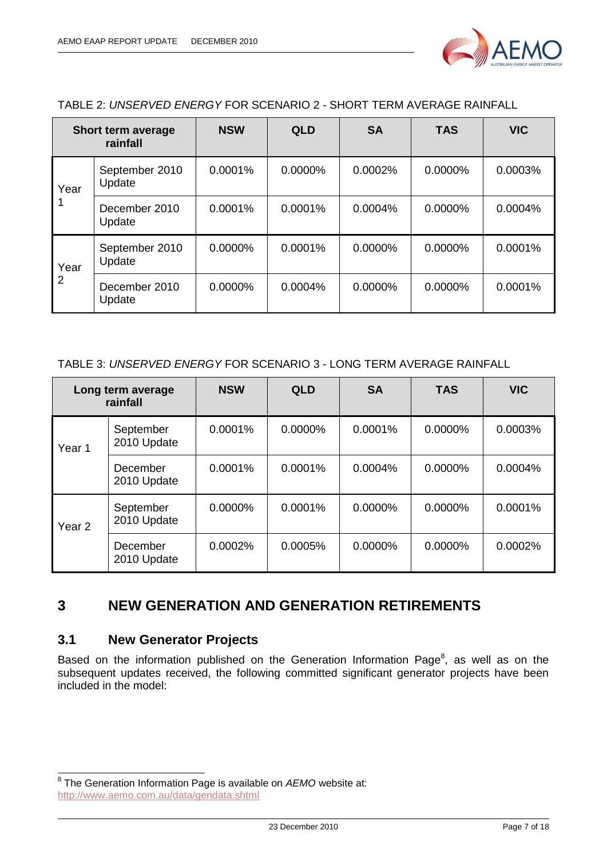

| TABLE 2: UNSERVED ENERGY FOR SCENARIO 2 - SHORT TERM AVERAGE RAINFALL |
|-----------------------------------------------------------------------|
|-----------------------------------------------------------------------|

|      | Short term average<br>rainfall | <b>NSW</b> | <b>QLD</b> | <b>SA</b>  | <b>TAS</b> | <b>VIC</b> |
|------|--------------------------------|------------|------------|------------|------------|------------|
| Year | September 2010<br>Update       | $0.0001\%$ | 0.0000%    | 0.0002%    | $0.0000\%$ | 0.0003%    |
|      | December 2010<br>Update        | 0.0001%    | $0.0001\%$ | 0.0004%    | $0.0000\%$ | 0.0004%    |
| Year | September 2010<br>Update       | $0.0000\%$ | 0.0001%    | $0.0000\%$ | $0.0000\%$ | 0.0001%    |
| 2    | December 2010<br>Update        | $0.0000\%$ | $0.0004\%$ | $0.0000\%$ | $0.0000\%$ | 0.0001%    |

#### TABLE 3: *UNSERVED ENERGY* FOR SCENARIO 3 - LONG TERM AVERAGE RAINFALL

|        | Long term average<br>rainfall | <b>NSW</b> | <b>QLD</b> | <b>SA</b>  | <b>TAS</b> | <b>VIC</b> |
|--------|-------------------------------|------------|------------|------------|------------|------------|
| Year 1 | September<br>2010 Update      | 0.0001%    | 0.0000%    | 0.0001%    | 0.0000%    | 0.0003%    |
|        | December<br>2010 Update       | 0.0001%    | 0.0001%    | 0.0004%    | $0.0000\%$ | 0.0004%    |
| Year 2 | September<br>2010 Update      | $0.0000\%$ | 0.0001%    | 0.0000%    | $0.0000\%$ | 0.0001%    |
|        | December<br>2010 Update       | 0.0002%    | 0.0005%    | $0.0000\%$ | $0.0000\%$ | 0.0002%    |

#### <span id="page-6-0"></span>**3 NEW GENERATION AND GENERATION RETIREMENTS**

#### <span id="page-6-1"></span>**3.1 New Generator Projects**

Based on the information published on the Generation Information Page<sup>8</sup>, as well as on the subsequent updates received, the following committed significant generator projects have been included in the model:

 8 The Generation Information Page is available on *AEMO* website at: <http://www.aemo.com.au/data/gendata.shtml>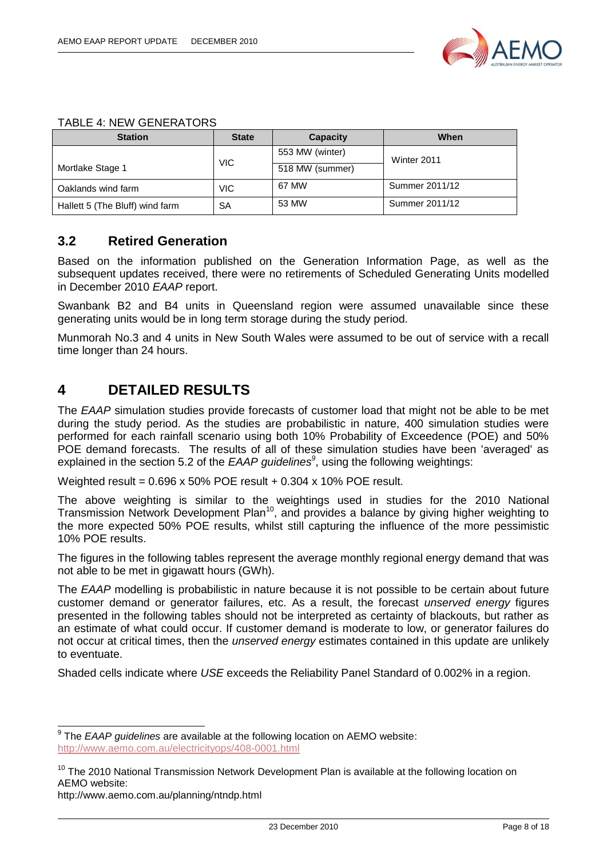

| <b>Station</b>                  | <b>State</b> | Capacity        | When           |
|---------------------------------|--------------|-----------------|----------------|
|                                 |              | 553 MW (winter) | Winter 2011    |
| Mortlake Stage 1                | <b>VIC</b>   | 518 MW (summer) |                |
| Oaklands wind farm              | VIC.         | 67 MW           | Summer 2011/12 |
| Hallett 5 (The Bluff) wind farm | SA           | 53 MW           | Summer 2011/12 |

#### TABLE 4: NEW GENERATORS

#### <span id="page-7-0"></span>**3.2 Retired Generation**

Based on the information published on the Generation Information Page, as well as the subsequent updates received, there were no retirements of Scheduled Generating Units modelled in December 2010 *EAAP* report.

Swanbank B2 and B4 units in Queensland region were assumed unavailable since these generating units would be in long term storage during the study period.

Munmorah No.3 and 4 units in New South Wales were assumed to be out of service with a recall time longer than 24 hours.

#### <span id="page-7-1"></span>**4 DETAILED RESULTS**

The *EAAP* simulation studies provide forecasts of customer load that might not be able to be met during the study period. As the studies are probabilistic in nature, 400 simulation studies were performed for each rainfall scenario using both 10% Probability of Exceedence (POE) and 50% POE demand forecasts. The results of all of these simulation studies have been 'averaged' as explained in the section 5.2 of the *EAAP guidelines<sup>9</sup>* , using the following weightings:

Weighted result =  $0.696 \times 50\%$  POE result +  $0.304 \times 10\%$  POE result.

The above weighting is similar to the weightings used in studies for the 2010 National Transmission Network Development Plan<sup>10</sup>, and provides a balance by giving higher weighting to the more expected 50% POE results, whilst still capturing the influence of the more pessimistic 10% POE results.

The figures in the following tables represent the average monthly regional energy demand that was not able to be met in gigawatt hours (GWh).

The *EAAP* modelling is probabilistic in nature because it is not possible to be certain about future customer demand or generator failures, etc. As a result, the forecast *unserved energy* figures presented in the following tables should not be interpreted as certainty of blackouts, but rather as an estimate of what could occur. If customer demand is moderate to low, or generator failures do not occur at critical times, then the *unserved energy* estimates contained in this update are unlikely to eventuate.

Shaded cells indicate where *USE* exceeds the Reliability Panel Standard of 0.002% in a region.

 9 The *EAAP guidelines* are available at the following location on AEMO website: <http://www.aemo.com.au/electricityops/408-0001.html>

 $10$  The 2010 National Transmission Network Development Plan is available at the following location on AEMO website:

http://www.aemo.com.au/planning/ntndp.html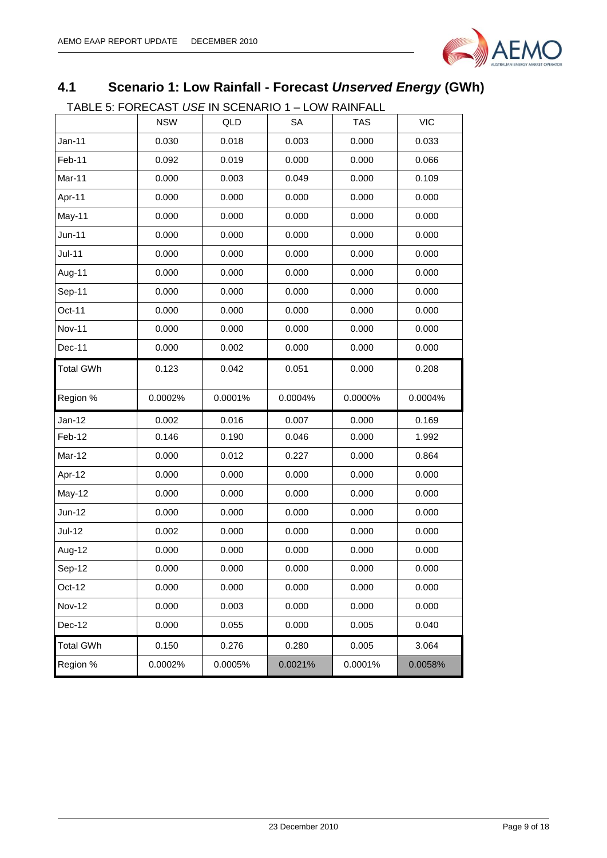

## <span id="page-8-0"></span>**4.1 Scenario 1: Low Rainfall - Forecast** *Unserved Energy* **(GWh)**

TABLE 5: FORECAST *USE* IN SCENARIO 1 – LOW RAINFALL

| יט ישבע של יש בא |            |         | ____________________ |         |            |
|------------------|------------|---------|----------------------|---------|------------|
|                  | <b>NSW</b> | QLD     | SА                   | TAS     | <b>VIC</b> |
| $Jan-11$         | 0.030      | 0.018   | 0.003                | 0.000   | 0.033      |
| Feb-11           | 0.092      | 0.019   | 0.000                | 0.000   | 0.066      |
| Mar-11           | 0.000      | 0.003   | 0.049                | 0.000   | 0.109      |
| Apr-11           | 0.000      | 0.000   | 0.000                | 0.000   | 0.000      |
| May-11           | 0.000      | 0.000   | 0.000                | 0.000   | 0.000      |
| $Jun-11$         | 0.000      | 0.000   | 0.000                | 0.000   | 0.000      |
| $Jul-11$         | 0.000      | 0.000   | 0.000                | 0.000   | 0.000      |
| Aug-11           | 0.000      | 0.000   | 0.000                | 0.000   | 0.000      |
| Sep-11           | 0.000      | 0.000   | 0.000                | 0.000   | 0.000      |
| Oct-11           | 0.000      | 0.000   | 0.000                | 0.000   | 0.000      |
| <b>Nov-11</b>    | 0.000      | 0.000   | 0.000                | 0.000   | 0.000      |
| Dec-11           | 0.000      | 0.002   | 0.000                | 0.000   | 0.000      |
| <b>Total GWh</b> | 0.123      | 0.042   | 0.051                | 0.000   | 0.208      |
| Region %         | 0.0002%    | 0.0001% | 0.0004%              | 0.0000% | 0.0004%    |
| Jan-12           | 0.002      | 0.016   | 0.007                | 0.000   | 0.169      |
| Feb-12           | 0.146      | 0.190   | 0.046                | 0.000   | 1.992      |
| Mar-12           | 0.000      | 0.012   | 0.227                |         |            |
| Apr-12           |            |         |                      | 0.000   | 0.864      |
|                  | 0.000      | 0.000   | 0.000                | 0.000   | 0.000      |
| <b>May-12</b>    | 0.000      | 0.000   | 0.000                | 0.000   | 0.000      |
| $Jun-12$         | 0.000      | 0.000   | 0.000                | 0.000   | 0.000      |
| <b>Jul-12</b>    | 0.002      | 0.000   | 0.000                | 0.000   | 0.000      |
| Aug-12           | 0.000      | 0.000   | 0.000                | 0.000   | 0.000      |
| Sep-12           | 0.000      | 0.000   | 0.000                | 0.000   | 0.000      |
| Oct-12           | 0.000      | 0.000   | 0.000                | 0.000   | 0.000      |
| <b>Nov-12</b>    | 0.000      | 0.003   | 0.000                | 0.000   | 0.000      |
| Dec-12           | 0.000      | 0.055   | 0.000                | 0.005   | 0.040      |
| <b>Total GWh</b> | 0.150      | 0.276   | 0.280                | 0.005   | 3.064      |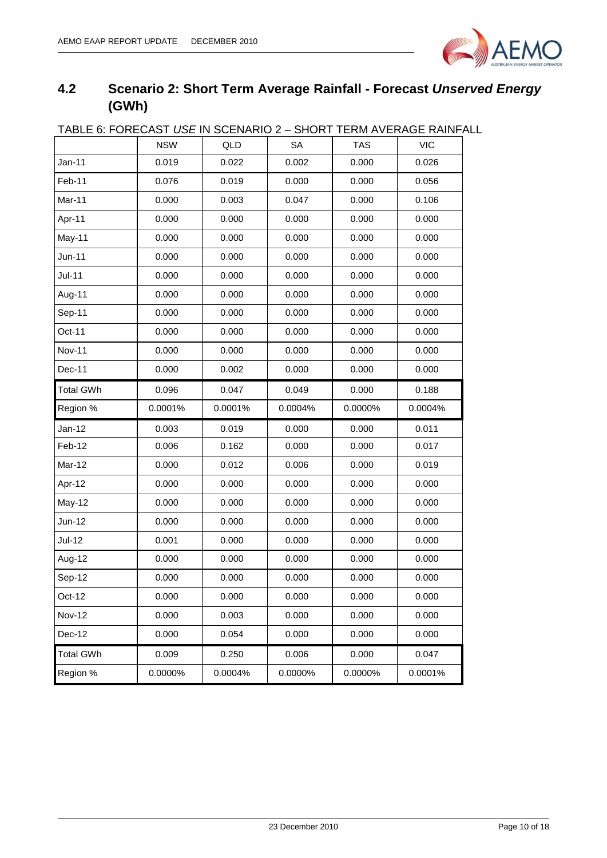

## <span id="page-9-0"></span>**4.2 Scenario 2: Short Term Average Rainfall - Forecast** *Unserved Energy* **(GWh)**

| Jan-11<br>Feb-11<br>Mar-11<br>Apr-11 | <b>NSW</b><br>0.019<br>0.076<br>0.000 | QLD<br>0.022<br>0.019<br>0.003 | <b>SA</b><br>0.002<br>0.000<br>0.047 | <b>TAS</b><br>0.000<br>0.000 | <b>VIC</b><br>0.026<br>0.056 |
|--------------------------------------|---------------------------------------|--------------------------------|--------------------------------------|------------------------------|------------------------------|
|                                      |                                       |                                |                                      |                              |                              |
|                                      |                                       |                                |                                      |                              |                              |
|                                      |                                       |                                |                                      |                              |                              |
|                                      |                                       |                                |                                      | 0.000                        | 0.106                        |
|                                      | 0.000                                 | 0.000                          | 0.000                                | 0.000                        | 0.000                        |
| May-11                               | 0.000                                 | 0.000                          | 0.000                                | 0.000                        | 0.000                        |
| Jun-11                               | 0.000                                 | 0.000                          | 0.000                                | 0.000                        | 0.000                        |
| $Jul-11$                             | 0.000                                 | 0.000                          | 0.000                                | 0.000                        | 0.000                        |
| Aug-11                               | 0.000                                 | 0.000                          | 0.000                                | 0.000                        | 0.000                        |
| Sep-11                               | 0.000                                 | 0.000                          | 0.000                                | 0.000                        | 0.000                        |
| Oct-11                               | 0.000                                 | 0.000                          | 0.000                                | 0.000                        | 0.000                        |
| <b>Nov-11</b>                        | 0.000                                 | 0.000                          | 0.000                                | 0.000                        | 0.000                        |
| Dec-11                               | 0.000                                 | 0.002                          | 0.000                                | 0.000                        | 0.000                        |
| <b>Total GWh</b>                     | 0.096                                 | 0.047                          | 0.049                                | 0.000                        | 0.188                        |
| Region %                             | 0.0001%                               | 0.0001%                        | 0.0004%                              | 0.0000%                      | 0.0004%                      |
| $Jan-12$                             | 0.003                                 | 0.019                          | 0.000                                | 0.000                        | 0.011                        |
| Feb-12                               | 0.006                                 | 0.162                          | 0.000                                | 0.000                        | 0.017                        |
| Mar-12                               | 0.000                                 | 0.012                          | 0.006                                | 0.000                        | 0.019                        |
| Apr-12                               | 0.000                                 | 0.000                          | 0.000                                | 0.000                        | 0.000                        |
| May-12                               | 0.000                                 | 0.000                          | 0.000                                | 0.000                        | 0.000                        |
| Jun-12                               | 0.000                                 | 0.000                          | 0.000                                | 0.000                        | 0.000                        |
| <b>Jul-12</b>                        | 0.001                                 | 0.000                          | 0.000                                | 0.000                        | 0.000                        |
| Aug-12                               | 0.000                                 | 0.000                          | 0.000                                | 0.000                        | 0.000                        |
| Sep-12                               | 0.000                                 | 0.000                          | 0.000                                | 0.000                        | 0.000                        |
|                                      | 0.000                                 | 0.000                          | 0.000                                | 0.000                        | 0.000                        |
| Oct-12                               |                                       |                                |                                      |                              |                              |
| <b>Nov-12</b>                        | 0.000                                 | 0.003                          | 0.000                                | 0.000                        | 0.000                        |
| Dec-12                               | 0.000                                 | 0.054                          | 0.000                                | 0.000                        | 0.000                        |
| <b>Total GWh</b>                     | 0.009                                 | 0.250                          | 0.006                                | 0.000                        | 0.047                        |

## TABLE 6: FORECAST *USE* IN SCENARIO 2 – SHORT TERM AVERAGE RAINFALL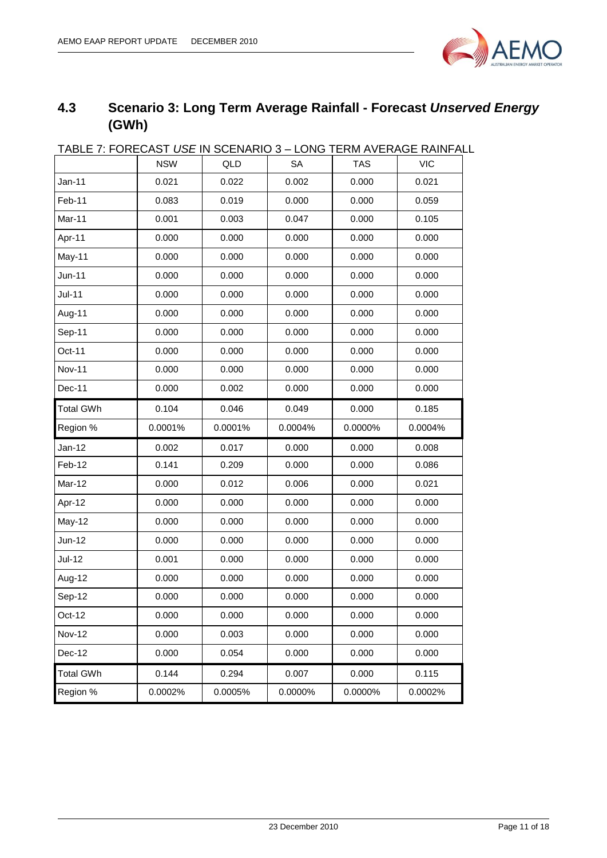

## <span id="page-10-0"></span>**4.3 Scenario 3: Long Term Average Rainfall - Forecast** *Unserved Energy* **(GWh)**

| <u> IADLE 7. FUREUAST USE IN SUENARIU 3 – LUNG TERM AVERAGE RAINFAL</u> |            |         |         |            |            |
|-------------------------------------------------------------------------|------------|---------|---------|------------|------------|
|                                                                         | <b>NSW</b> | QLD     | SA      | <b>TAS</b> | <b>VIC</b> |
| Jan-11                                                                  | 0.021      | 0.022   | 0.002   | 0.000      | 0.021      |
| Feb-11                                                                  | 0.083      | 0.019   | 0.000   | 0.000      | 0.059      |
| Mar-11                                                                  | 0.001      | 0.003   | 0.047   | 0.000      | 0.105      |
| Apr-11                                                                  | 0.000      | 0.000   | 0.000   | 0.000      | 0.000      |
| May-11                                                                  | 0.000      | 0.000   | 0.000   | 0.000      | 0.000      |
| <b>Jun-11</b>                                                           | 0.000      | 0.000   | 0.000   | 0.000      | 0.000      |
| $Jul-11$                                                                | 0.000      | 0.000   | 0.000   | 0.000      | 0.000      |
| Aug-11                                                                  | 0.000      | 0.000   | 0.000   | 0.000      | 0.000      |
| Sep-11                                                                  | 0.000      | 0.000   | 0.000   | 0.000      | 0.000      |
| Oct-11                                                                  | 0.000      | 0.000   | 0.000   | 0.000      | 0.000      |
| <b>Nov-11</b>                                                           | 0.000      | 0.000   | 0.000   | 0.000      | 0.000      |
| Dec-11                                                                  | 0.000      | 0.002   | 0.000   | 0.000      | 0.000      |
| <b>Total GWh</b>                                                        | 0.104      | 0.046   | 0.049   | 0.000      | 0.185      |
| Region %                                                                | 0.0001%    | 0.0001% | 0.0004% | 0.0000%    | 0.0004%    |
| Jan-12                                                                  | 0.002      | 0.017   | 0.000   | 0.000      | 0.008      |
| Feb-12                                                                  | 0.141      | 0.209   | 0.000   | 0.000      | 0.086      |
| Mar-12                                                                  | 0.000      | 0.012   | 0.006   | 0.000      | 0.021      |
| Apr-12                                                                  | 0.000      | 0.000   | 0.000   | 0.000      | 0.000      |
| May-12                                                                  | 0.000      | 0.000   | 0.000   | 0.000      | 0.000      |
| Jun-12                                                                  | 0.000      | 0.000   | 0.000   | 0.000      | 0.000      |
| $Jul-12$                                                                | 0.001      | 0.000   | 0.000   | 0.000      | 0.000      |
| Aug-12                                                                  | 0.000      | 0.000   | 0.000   | 0.000      | 0.000      |
| Sep-12                                                                  | 0.000      | 0.000   | 0.000   | 0.000      | 0.000      |
| Oct-12                                                                  | 0.000      | 0.000   | 0.000   | 0.000      | 0.000      |
| <b>Nov-12</b>                                                           | 0.000      | 0.003   | 0.000   | 0.000      | 0.000      |
| Dec-12                                                                  | 0.000      | 0.054   | 0.000   | 0.000      | 0.000      |
|                                                                         |            |         |         |            |            |
| <b>Total GWh</b>                                                        | 0.144      | 0.294   | 0.007   | 0.000      | 0.115      |

TABLE 7: FORECAST *USE* IN SCENARIO 3 – LONG TERM AVERAGE RAINFALL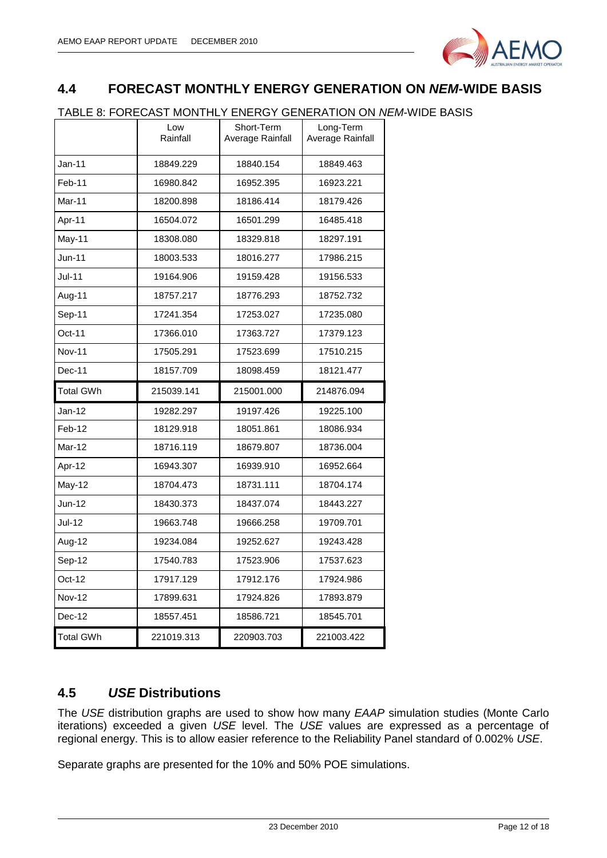

#### <span id="page-11-0"></span>**4.4 FORECAST MONTHLY ENERGY GENERATION ON** *NEM***-WIDE BASIS**

#### TABLE 8: FORECAST MONTHLY ENERGY GENERATION ON *NEM*-WIDE BASIS

|                  | Low<br>Rainfall | Short-Term<br>Average Rainfall | Long-Term<br>Average Rainfall |
|------------------|-----------------|--------------------------------|-------------------------------|
| Jan-11           | 18849.229       | 18840.154                      | 18849.463                     |
| Feb-11           | 16980.842       | 16952.395                      | 16923.221                     |
| Mar-11           | 18200.898       | 18186.414                      | 18179.426                     |
| Apr-11           | 16504.072       | 16501.299                      | 16485.418                     |
| May-11           | 18308.080       | 18329.818                      | 18297.191                     |
| Jun-11           | 18003.533       | 18016.277                      | 17986.215                     |
| <b>Jul-11</b>    | 19164.906       | 19159.428                      | 19156.533                     |
| Aug-11           | 18757.217       | 18776.293                      | 18752.732                     |
| Sep-11           | 17241.354       | 17253.027                      | 17235.080                     |
| Oct-11           | 17366.010       | 17363.727                      | 17379.123                     |
| <b>Nov-11</b>    | 17505.291       | 17523.699                      | 17510.215                     |
| Dec-11           | 18157.709       | 18098.459                      | 18121.477                     |
| <b>Total GWh</b> | 215039.141      | 215001.000                     | 214876.094                    |
| Jan-12           | 19282.297       | 19197.426                      | 19225.100                     |
|                  |                 |                                |                               |
| Feb-12           | 18129.918       | 18051.861                      | 18086.934                     |
| Mar-12           | 18716.119       | 18679.807                      | 18736.004                     |
| Apr-12           | 16943.307       | 16939.910                      | 16952.664                     |
| May-12           | 18704.473       | 18731.111                      | 18704.174                     |
| Jun-12           | 18430.373       | 18437.074                      | 18443.227                     |
| <b>Jul-12</b>    | 19663.748       | 19666.258                      | 19709.701                     |
| Aug-12           | 19234.084       | 19252.627                      | 19243.428                     |
| Sep-12           | 17540.783       | 17523.906                      | 17537.623                     |
| Oct-12           | 17917.129       | 17912.176                      | 17924.986                     |
| <b>Nov-12</b>    | 17899.631       | 17924.826                      | 17893.879                     |
| Dec-12           | 18557.451       | 18586.721                      | 18545.701                     |

#### <span id="page-11-1"></span>**4.5** *USE* **Distributions**

The *USE* distribution graphs are used to show how many *EAAP* simulation studies (Monte Carlo iterations) exceeded a given *USE* level. The *USE* values are expressed as a percentage of regional energy. This is to allow easier reference to the Reliability Panel standard of 0.002% *USE*.

Separate graphs are presented for the 10% and 50% POE simulations.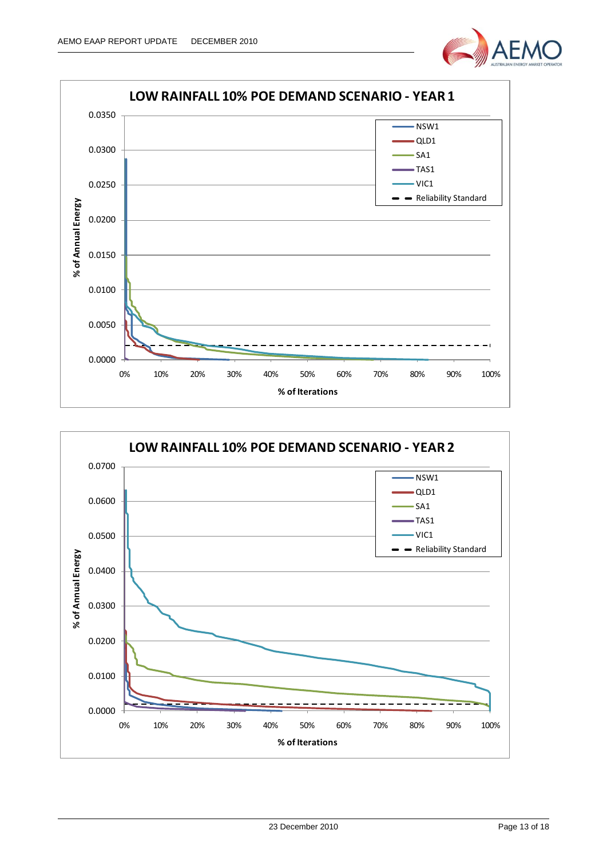



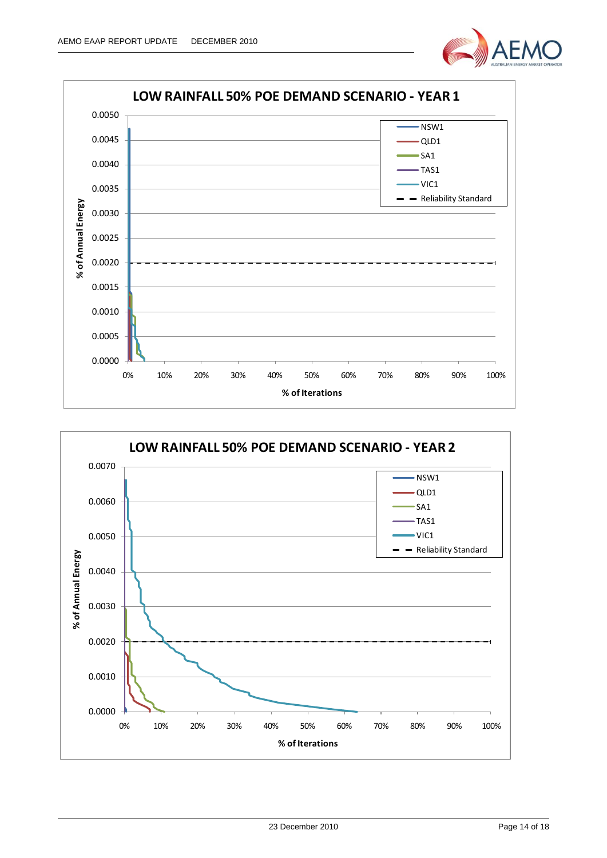



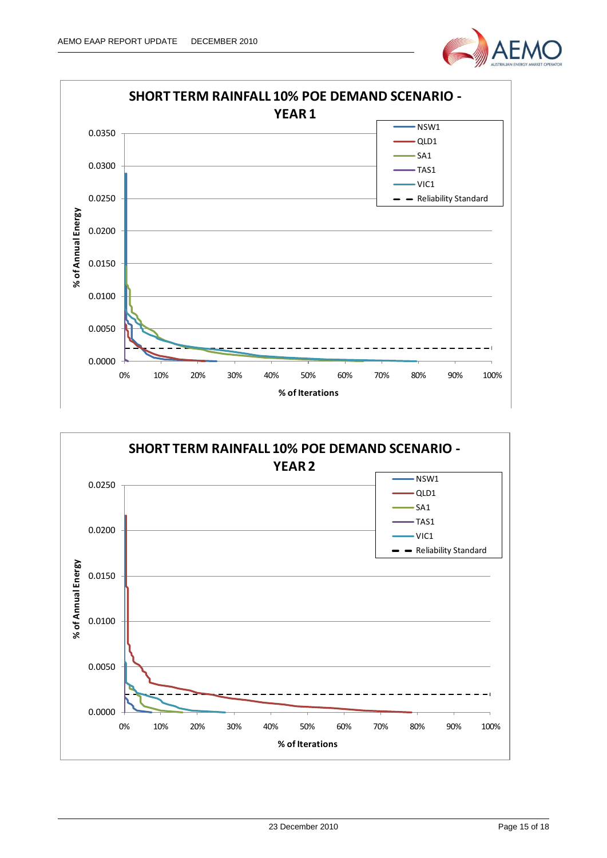



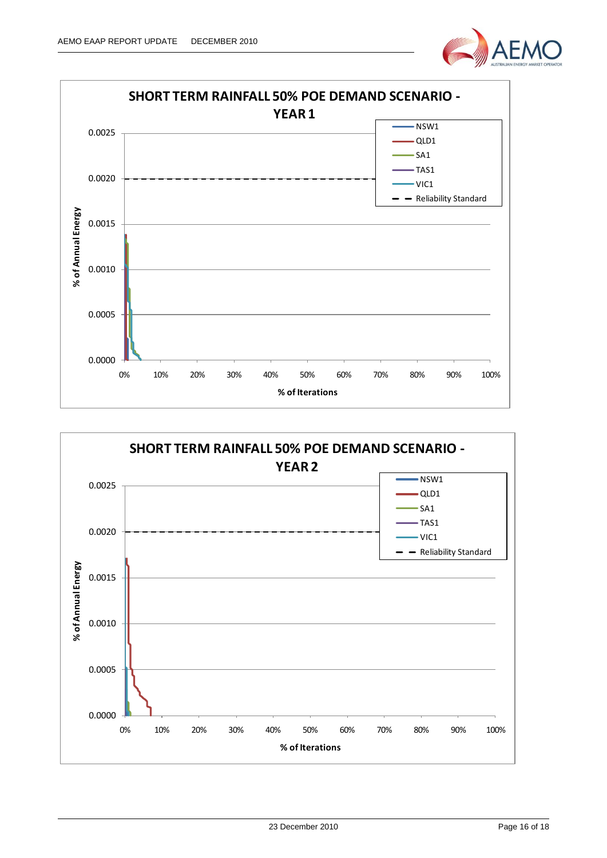



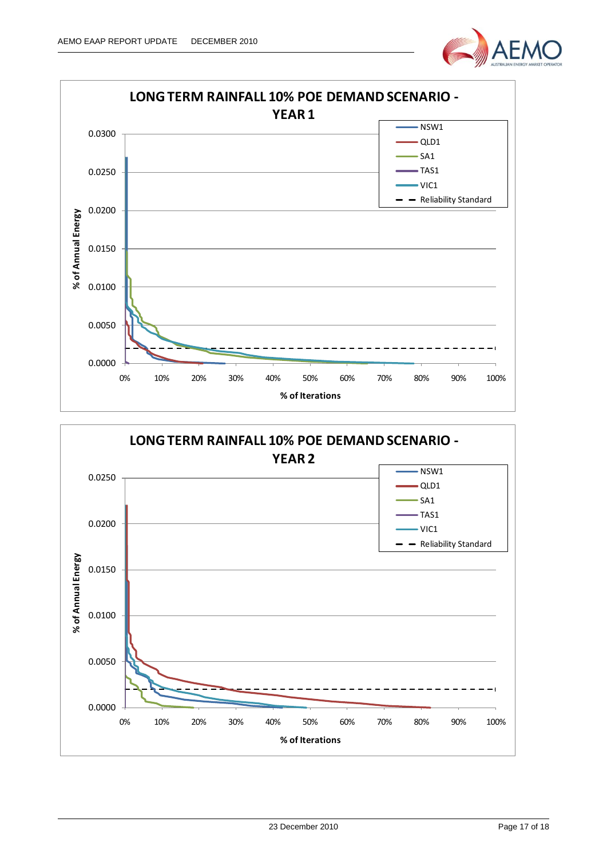